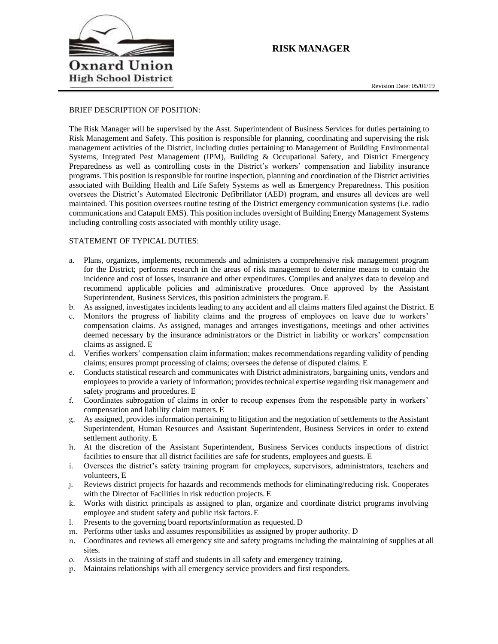

# **RISK MANAGER**

### BRIEF DESCRIPTION OF POSITION:

The Risk Manager will be supervised by the Asst. Superintendent of Business Services for duties pertaining to Risk Management and Safety. This position is responsible for planning, coordinating and supervising the risk management activities of the District, including duties pertaining to Management of Building Environmental Systems, Integrated Pest Management (IPM), Building & Occupational Safety, and District Emergency Preparedness as well as controlling costs in the District's workers' compensation and liability insurance programs. This position is responsible for routine inspection, planning and coordination of the District activities associated with Building Health and Life Safety Systems as well as Emergency Preparedness. This position oversees the District's Automated Electronic Defibrillator (AED) program, and ensures all devices are well maintained. This position oversees routine testing of the District emergency communication systems (i.e. radio communications and Catapult EMS). This position includes oversight of Building Energy Management Systems including controlling costs associated with monthly utility usage.

### STATEMENT OF TYPICAL DUTIES:

- a. Plans, organizes, implements, recommends and administers a comprehensive risk management program for the District; performs research in the areas of risk management to determine means to contain the incidence and cost of losses, insurance and other expenditures. Compiles and analyzes data to develop and recommend applicable policies and administrative procedures. Once approved by the Assistant Superintendent, Business Services, this position administers the program. E
- b. As assigned, investigates incidents leading to any accident and all claims matters filed against the District. E
- c. Monitors the progress of liability claims and the progress of employees on leave due to workers' compensation claims. As assigned, manages and arranges investigations, meetings and other activities deemed necessary by the insurance administrators or the District in liability or workers' compensation claims as assigned. E
- d. Verifies workers' compensation claim information; makes recommendations regarding validity of pending claims; ensures prompt processing of claims; oversees the defense of disputed claims. E
- e. Conducts statistical research and communicates with District administrators, bargaining units, vendors and employees to provide a variety of information; provides technical expertise regarding risk management and safety programs and procedures. E
- f. Coordinates subrogation of claims in order to recoup expenses from the responsible party in workers' compensation and liability claim matters. E
- g. As assigned, provides information pertaining to litigation and the negotiation of settlements to the Assistant Superintendent, Human Resources and Assistant Superintendent, Business Services in order to extend settlement authority. E
- h. At the discretion of the Assistant Superintendent, Business Services conducts inspections of district facilities to ensure that all district facilities are safe for students, employees and guests. E
- i. Oversees the district's safety training program for employees, supervisors, administrators, teachers and volunteers, E
- j. Reviews district projects for hazards and recommends methods for eliminating/reducing risk. Cooperates with the Director of Facilities in risk reduction projects. E
- k. Works with district principals as assigned to plan, organize and coordinate district programs involving employee and student safety and public risk factors. E
- l. Presents to the governing board reports/information as requested.D
- m. Performs other tasks and assumes responsibilities as assigned by proper authority. D
- n. Coordinates and reviews all emergency site and safety programs including the maintaining of supplies at all sites.
- o. Assists in the training of staff and students in all safety and emergency training.
- p. Maintains relationships with all emergency service providers and first responders.